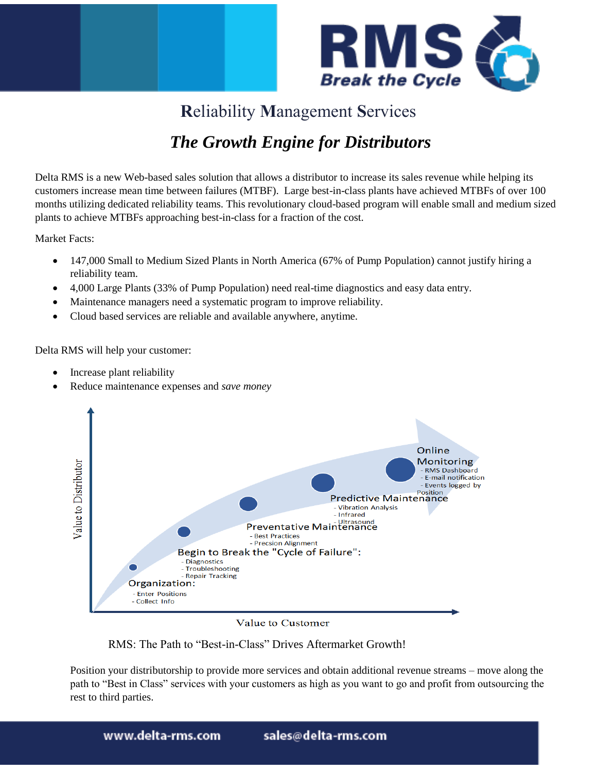

## **R**eliability **M**anagement **S**ervices *The Growth Engine for Distributors*

Delta RMS is a new Web-based sales solution that allows a distributor to increase its sales revenue while helping its customers increase mean time between failures (MTBF). Large best-in-class plants have achieved MTBFs of over 100 months utilizing dedicated reliability teams. This revolutionary cloud-based program will enable small and medium sized plants to achieve MTBFs approaching best-in-class for a fraction of the cost.

Market Facts:

- 147,000 Small to Medium Sized Plants in North America (67% of Pump Population) cannot justify hiring a reliability team.
- 4,000 Large Plants (33% of Pump Population) need real-time diagnostics and easy data entry.
- Maintenance managers need a systematic program to improve reliability.
- Cloud based services are reliable and available anywhere, anytime.

Delta RMS will help your customer:

- Increase plant reliability
- Reduce maintenance expenses and *save money*



## Value to Customer

RMS: The Path to "Best-in-Class" Drives Aftermarket Growth!

Position your distributorship to provide more services and obtain additional revenue streams – move along the path to "Best in Class" services with your customers as high as you want to go and profit from outsourcing the rest to third parties.